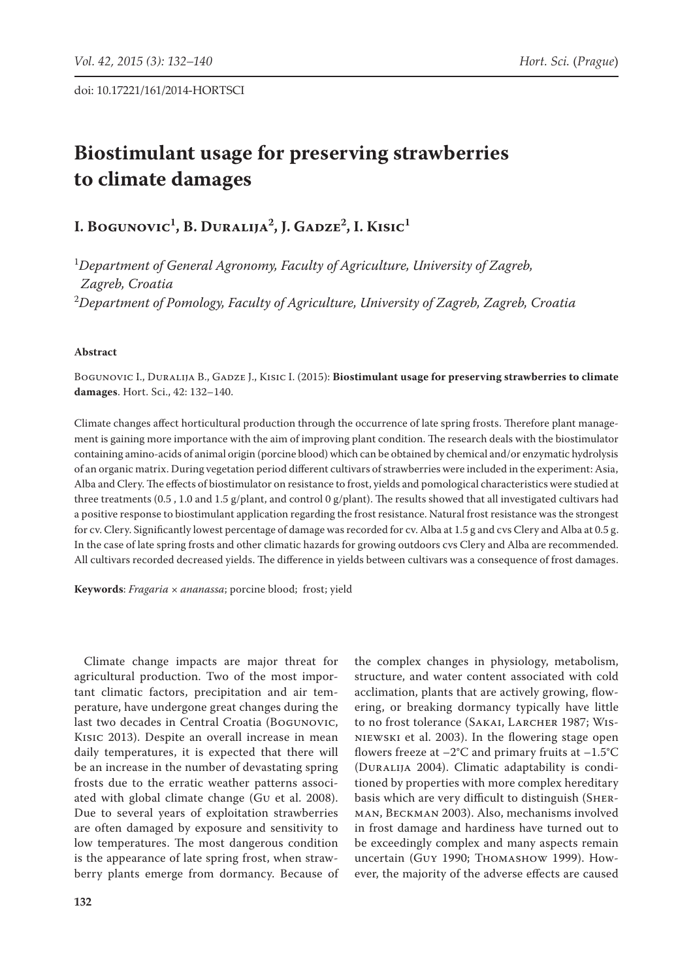# **Biostimulant usage for preserving strawberries to climate damages**

# **I. Bogunovic1 , B. Duralija2 , J. Gadze2 , I. Kisic1**

1 *Department of General Agronomy, Faculty of Agriculture, University of Zagreb, Zagreb, Croatia* 2 *Department of Pomology, Faculty of Agriculture, University of Zagreb, Zagreb, Croatia*

# **Abstract**

BOGUNOVIC I., DURALIJA B., GADZE J., KISIC I. (2015): **Biostimulant usage for preserving strawberries to climate damages**. Hort. Sci., 42: 132–140.

Climate changes affect horticultural production through the occurrence of late spring frosts. Therefore plant management is gaining more importance with the aim of improving plant condition. The research deals with the biostimulator containing amino-acids of animal origin (porcine blood) which can be obtained by chemical and/or enzymatic hydrolysis of an organic matrix. During vegetation period different cultivars of strawberries were included in the experiment: Asia, Alba and Clery. The effects of biostimulator on resistance to frost, yields and pomological characteristics were studied at three treatments (0.5 , 1.0 and 1.5 g/plant, and control 0 g/plant). The results showed that all investigated cultivars had a positive response to biostimulant application regarding the frost resistance. Natural frost resistance was the strongest for cv. Clery. Significantly lowest percentage of damage was recorded for cv. Alba at 1.5 g and cvs Clery and Alba at 0.5 g. In the case of late spring frosts and other climatic hazards for growing outdoors cvs Clery and Alba are recommended. All cultivars recorded decreased yields. The difference in yields between cultivars was a consequence of frost damages.

**Keywords**: *Fragaria* × *ananassa*; porcine blood; frost; yield

Climate change impacts are major threat for agricultural production. Two of the most important climatic factors, precipitation and air temperature, have undergone great changes during the last two decades in Central Croatia (Bogunovic, Kisic 2013). Despite an overall increase in mean daily temperatures, it is expected that there will be an increase in the number of devastating spring frosts due to the erratic weather patterns associated with global climate change (Gu et al. 2008). Due to several years of exploitation strawberries are often damaged by exposure and sensitivity to low temperatures. The most dangerous condition is the appearance of late spring frost, when strawberry plants emerge from dormancy. Because of

the complex changes in physiology, metabolism, structure, and water content associated with cold acclimation, plants that are actively growing, flowering, or breaking dormancy typically have little to no frost tolerance (SAKAI, LARCHER 1987; WISniewski et al. 2003). In the flowering stage open flowers freeze at  $-2$ °C and primary fruits at  $-1.5$ °C (DURALIJA 2004). Climatic adaptability is conditioned by properties with more complex hereditary basis which are very difficult to distinguish (Sherman, Beckman 2003). Also, mechanisms involved in frost damage and hardiness have turned out to be exceedingly complex and many aspects remain uncertain (Guy 1990; Thomashow 1999). However, the majority of the adverse effects are caused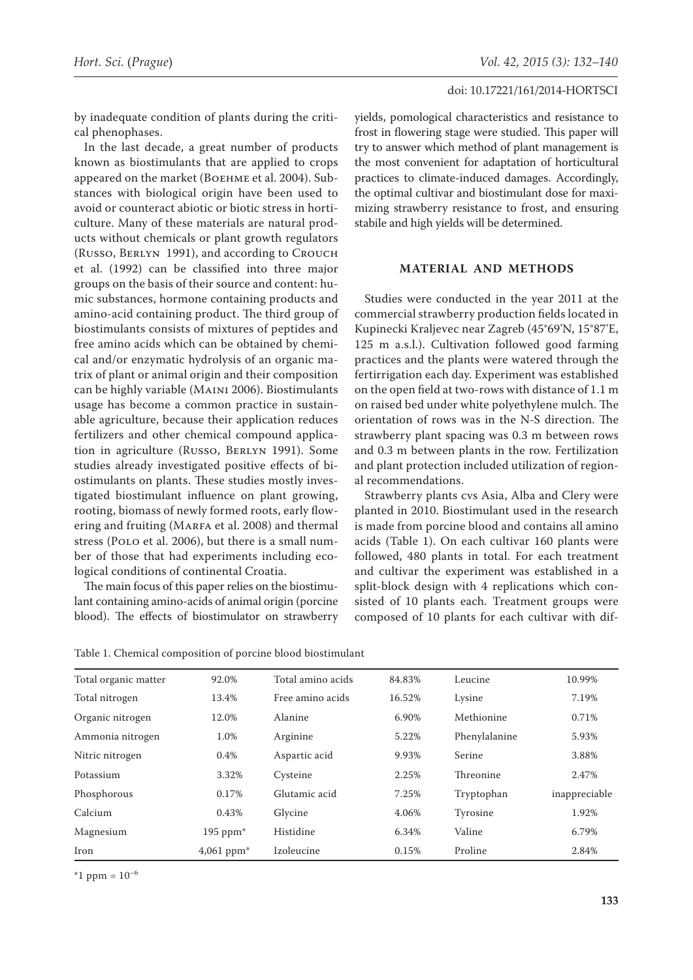by inadequate condition of plants during the critical phenophases.

In the last decade, a great number of products known as biostimulants that are applied to crops appeared on the market (Boehme et al. 2004). Substances with biological origin have been used to avoid or counteract abiotic or biotic stress in horticulture. Many of these materials are natural products without chemicals or plant growth regulators (Russo, Berlyn 1991), and according to Crouch et al. (1992) can be classified into three major groups on the basis of their source and content: humic substances, hormone containing products and amino-acid containing product. The third group of biostimulants consists of mixtures of peptides and free amino acids which can be obtained by chemical and/or enzymatic hydrolysis of an organic matrix of plant or animal origin and their composition can be highly variable (Maini 2006). Biostimulants usage has become a common practice in sustainable agriculture, because their application reduces fertilizers and other chemical compound application in agriculture (Russo, BERLYN 1991). Some studies already investigated positive effects of biostimulants on plants. These studies mostly investigated biostimulant influence on plant growing, rooting, biomass of newly formed roots, early flowering and fruiting (MARFA et al. 2008) and thermal stress (Polo et al. 2006), but there is a small number of those that had experiments including ecological conditions of continental Croatia.

The main focus of this paper relies on the biostimulant containing amino-acids of animal origin (porcine blood). The effects of biostimulator on strawberry yields, pomological characteristics and resistance to frost in flowering stage were studied. This paper will try to answer which method of plant management is the most convenient for adaptation of horticultural practices to climate-induced damages. Accordingly, the optimal cultivar and biostimulant dose for maximizing strawberry resistance to frost, and ensuring stabile and high yields will be determined.

# **MATERIAL AND METHODS**

Studies were conducted in the year 2011 at the commercial strawberry production fields located in Kupinecki Kraljevec near Zagreb (45°69'N, 15°87'E, 125 m a.s.l.). Cultivation followed good farming practices and the plants were watered through the fertirrigation each day. Experiment was established on the open field at two-rows with distance of 1.1 m on raised bed under white polyethylene mulch. The orientation of rows was in the N-S direction. The strawberry plant spacing was 0.3 m between rows and 0.3 m between plants in the row. Fertilization and plant protection included utilization of regional recommendations.

Strawberry plants cvs Asia, Alba and Clery were planted in 2010. Biostimulant used in the research is made from porcine blood and contains all amino acids (Table 1). On each cultivar 160 plants were followed, 480 plants in total. For each treatment and cultivar the experiment was established in a split-block design with 4 replications which consisted of 10 plants each. Treatment groups were composed of 10 plants for each cultivar with dif-

| Table 1. Chemical composition of porcine blood biostimulant |  |
|-------------------------------------------------------------|--|
|-------------------------------------------------------------|--|

| Total organic matter | 92.0%           | Total amino acids | 84.83% | Leucine       | 10.99%        |
|----------------------|-----------------|-------------------|--------|---------------|---------------|
| Total nitrogen       | 13.4%           | Free amino acids  | 16.52% | Lysine        | 7.19%         |
| Organic nitrogen     | 12.0%           | Alanine           | 6.90%  | Methionine    | 0.71%         |
| Ammonia nitrogen     | 1.0%            | Arginine          | 5.22%  | Phenylalanine | 5.93%         |
| Nitric nitrogen      | 0.4%            | Aspartic acid     | 9.93%  | Serine        | 3.88%         |
| Potassium            | 3.32%           | Cysteine          | 2.25%  | Threonine     | 2.47%         |
| Phosphorous          | 0.17%           | Glutamic acid     | 7.25%  | Tryptophan    | inappreciable |
| Calcium              | 0.43%           | Glycine           | 4.06%  | Tyrosine      | 1.92%         |
| Magnesium            | $195$ ppm $*$   | Histidine         | 6.34%  | Valine        | 6.79%         |
| Iron                 | $4,061$ ppm $*$ | Izoleucine        | 0.15%  | Proline       | 2.84%         |

 $*1$  ppm =  $10^{-6}$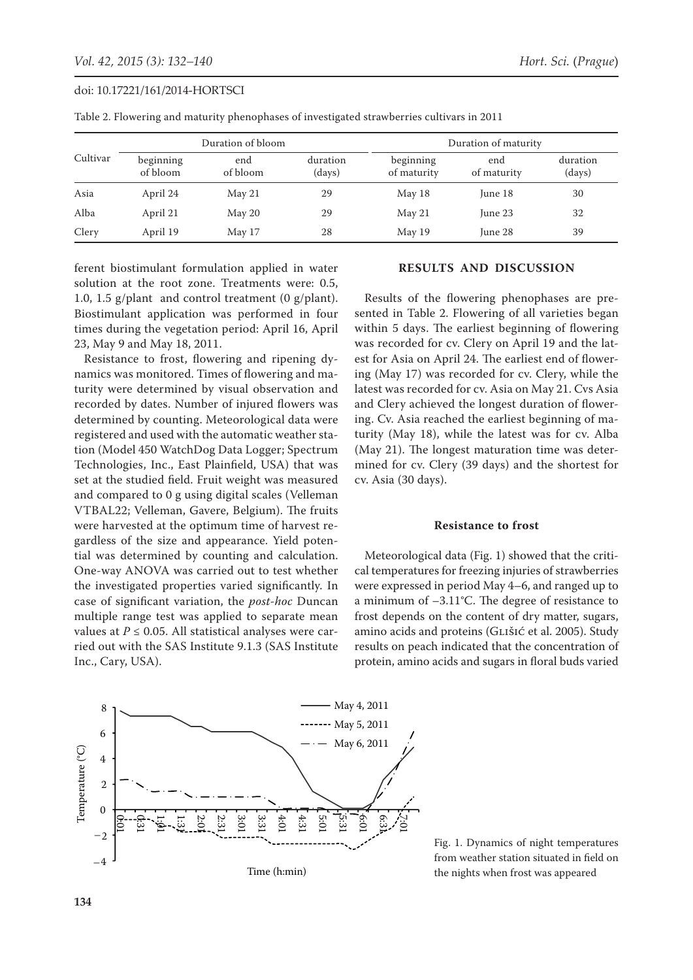|          |                       | Duration of bloom |                    | Duration of maturity     |                    |                    |  |
|----------|-----------------------|-------------------|--------------------|--------------------------|--------------------|--------------------|--|
| Cultivar | beginning<br>of bloom | end<br>of bloom   | duration<br>(days) | beginning<br>of maturity | end<br>of maturity | duration<br>(days) |  |
| Asia     | April 24              | May 21            | 29                 | May 18                   | June 18            | 30                 |  |
| Alba     | April 21              | May 20            | 29                 | May 21                   | June 23            | 32                 |  |
| Clery    | April 19              | May 17            | 28                 | May 19                   | June 28            | 39                 |  |

Table 2. Flowering and maturity phenophases of investigated strawberries cultivars in 2011

ferent biostimulant formulation applied in water solution at the root zone. Treatments were: 0.5, 1.0, 1.5 g/plant and control treatment (0 g/plant). Biostimulant application was performed in four times during the vegetation period: April 16, April 23, May 9 and May 18, 2011.

Resistance to frost, flowering and ripening dynamics was monitored. Times of flowering and maturity were determined by visual observation and recorded by dates. Number of injured flowers was determined by counting. Meteorological data were registered and used with the automatic weather station (Model 450 WatchDog Data Logger; Spectrum Technologies, Inc., East Plainfield, USA) that was set at the studied field. Fruit weight was measured and compared to 0 g using digital scales (Velleman VTBAL22; Velleman, Gavere, Belgium). The fruits were harvested at the optimum time of harvest regardless of the size and appearance. Yield potential was determined by counting and calculation. One-way ANOVA was carried out to test whether the investigated properties varied significantly. In case of significant variation, the *post-hoc* Duncan multiple range test was applied to separate mean values at  $P \le 0.05$ . All statistical analyses were carried out with the SAS Institute 9.1.3 (SAS Institute Inc., Cary, USA).

# **RESULTS AND DISCUSSION**

Results of the flowering phenophases are presented in Table 2. Flowering of all varieties began within 5 days. The earliest beginning of flowering was recorded for cv. Clery on April 19 and the latest for Asia on April 24. The earliest end of flowering (May 17) was recorded for cv. Clery, while the latest was recorded for cv. Asia on May 21. Cvs Asia and Clery achieved the longest duration of flowering. Cv. Asia reached the earliest beginning of maturity (May 18), while the latest was for cv. Alba (May 21). The longest maturation time was determined for cv. Clery (39 days) and the shortest for cv. Asia (30 days).

#### **Resistance to frost**

Meteorological data (Fig. 1) showed that the critical temperatures for freezing injuries of strawberries were expressed in period May 4–6, and ranged up to a minimum of –3.11°C. The degree of resistance to frost depends on the content of dry matter, sugars, amino acids and proteins (GLIŠIĆ et al. 2005). Study results on peach indicated that the concentration of protein, amino acids and sugars in floral buds varied



Fig. 1. Dynamics of night temperatures from weather station situated in field on the nights when frost was appeared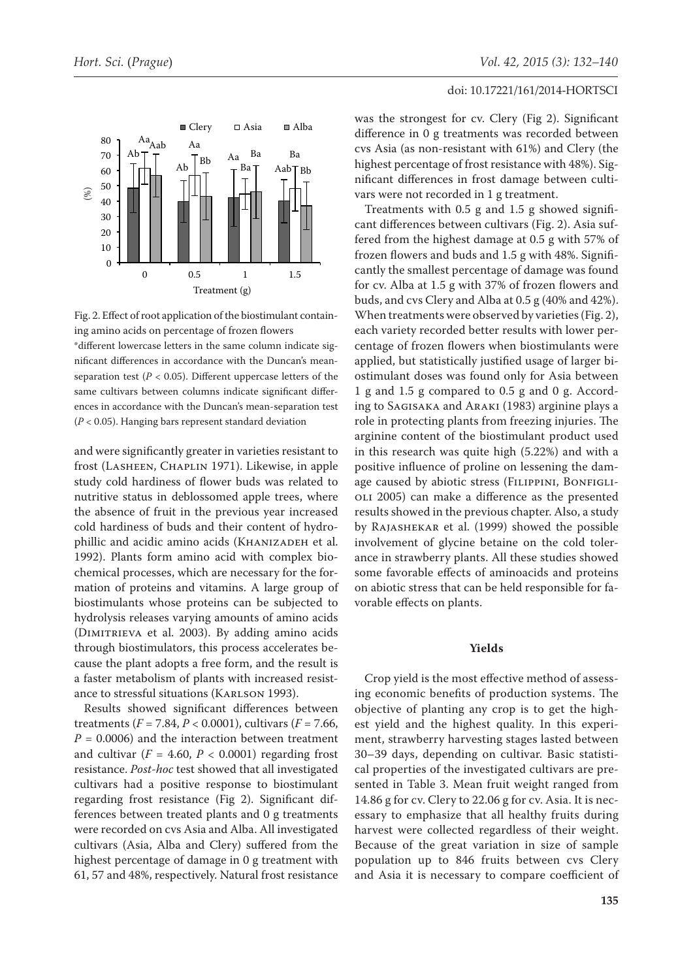

Fig. 2. Effect of root application of the biostimulant containing amino acids on percentage of frozen flowers \*different lowercase letters in the same column indicate significant differences in accordance with the Duncan's meanseparation test ( $P < 0.05$ ). Different uppercase letters of the same cultivars between columns indicate significant differences in accordance with the Duncan's mean-separation test

and were significantly greater in varieties resistant to frost (Lasheen, Chaplin 1971). Likewise, in apple study cold hardiness of flower buds was related to nutritive status in deblossomed apple trees, where the absence of fruit in the previous year increased cold hardiness of buds and their content of hydrophillic and acidic amino acids (KHANIZADEH et al. 1992). Plants form amino acid with complex biochemical processes, which are necessary for the formation of proteins and vitamins. A large group of biostimulants whose proteins can be subjected to hydrolysis releases varying amounts of amino acids (Dimitrieva et al. 2003). By adding amino acids through biostimulators, this process accelerates because the plant adopts a free form, and the result is a faster metabolism of plants with increased resistance to stressful situations (KARLSON 1993).

Results showed significant differences between treatments  $(F = 7.84, P < 0.0001)$ , cultivars  $(F = 7.66,$  $P = 0.0006$ ) and the interaction between treatment and cultivar  $(F = 4.60, P < 0.0001)$  regarding frost resistance. *Post-hoc* test showed that all investigated cultivars had a positive response to biostimulant regarding frost resistance (Fig 2). Significant differences between treated plants and 0 g treatments were recorded on cvs Asia and Alba. All investigated cultivars (Asia, Alba and Clery) suffered from the highest percentage of damage in 0 g treatment with 61, 57 and 48%, respectively. Natural frost resistance was the strongest for cv. Clery (Fig 2). Significant difference in 0 g treatments was recorded between cvs Asia (as non-resistant with 61%) and Clery (the highest percentage of frost resistance with 48%). Significant differences in frost damage between cultivars were not recorded in 1 g treatment.

Treatments with 0.5 g and 1.5 g showed significant differences between cultivars (Fig. 2). Asia suffered from the highest damage at 0.5 g with 57% of frozen flowers and buds and 1.5 g with 48%. Significantly the smallest percentage of damage was found for cv. Alba at 1.5 g with 37% of frozen flowers and buds, and cvs Clery and Alba at 0.5 g (40% and 42%). When treatments were observed by varieties (Fig. 2), each variety recorded better results with lower percentage of frozen flowers when biostimulants were applied, but statistically justified usage of larger biostimulant doses was found only for Asia between 1 g and 1.5 g compared to 0.5 g and 0 g. According to Sagisaka and Araki (1983) arginine plays a role in protecting plants from freezing injuries. The arginine content of the biostimulant product used in this research was quite high (5.22%) and with a positive influence of proline on lessening the damage caused by abiotic stress (FILIPPINI, BONFIGLIoli 2005) can make a difference as the presented results showed in the previous chapter. Also, a study by Rajashekar et al. (1999) showed the possible involvement of glycine betaine on the cold tolerance in strawberry plants. All these studies showed some favorable effects of aminoacids and proteins on abiotic stress that can be held responsible for favorable effects on plants.

# **Yields**

Crop yield is the most effective method of assessing economic benefits of production systems. The objective of planting any crop is to get the highest yield and the highest quality. In this experiment, strawberry harvesting stages lasted between 30–39 days, depending on cultivar. Basic statistical properties of the investigated cultivars are presented in Table 3. Mean fruit weight ranged from 14.86 g for cv. Clery to 22.06 g for cv. Asia. It is necessary to emphasize that all healthy fruits during harvest were collected regardless of their weight. Because of the great variation in size of sample population up to 846 fruits between cvs Clery and Asia it is necessary to compare coefficient of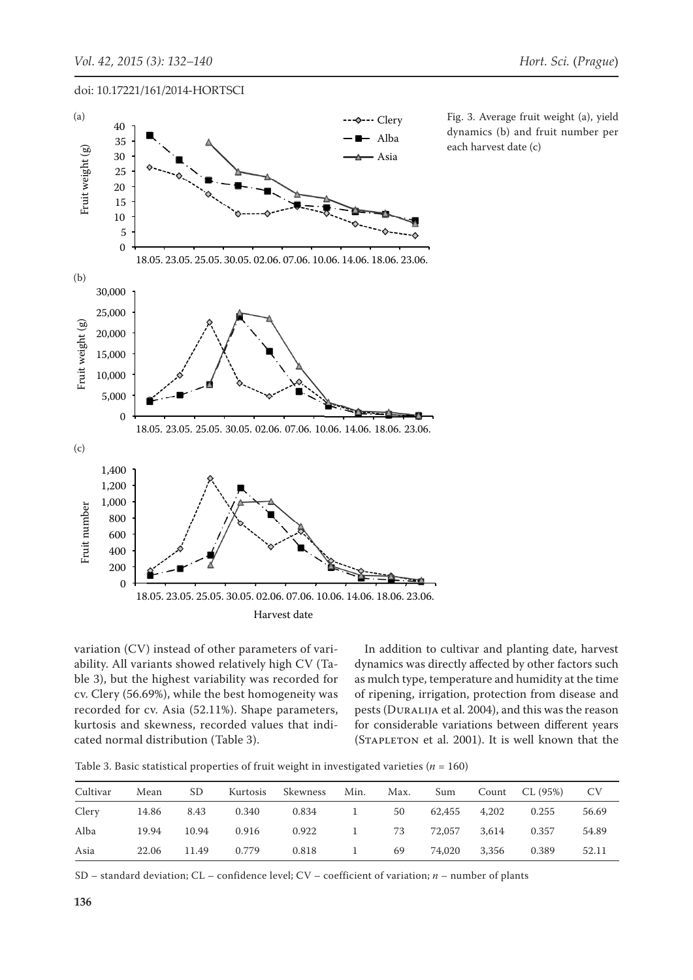$\overline{\phantom{0}}$ 

30 15 doi: 10.17221/161/2014-HORTSCI



Fig. 3. Average fruit weight (a), yield dynamics (b) and fruit number per each harvest date (c)

variation (CV) instead of other parameters of variability. All variants showed relatively high CV (Ta-600 ble 3), but the highest variability was recorded for cv. Clery (56.69%), while the best homogeneity was ev. Stery (30.05%), while the best homogenery was recorded for cv. Asia (52.11%). Shape parameters, kurtosis and skewness, recorded values that indi-Ruffosis and skewness, recorded values that their for considerable  $\overline{\mathcal{L}}$ va<br>ab<br>~v 18.05. 23.05. 25.05. 30.05. 02.06. 07.06. 10.06. 14.06. 18.06. 23.06.

In addition to cultivar and planting date, harvest dynamics was directly affected by other factors such as mulch type, temperature and humidity at the time of ripening, irrigation, protection from disease and pests (Duralija et al. 2004), and this was the reason for considerable variations between different years (Stapleton et al. 2001). It is well known that the

Table 3. Basic statistical properties of fruit weight in investigated varieties  $(n = 160)$ 

| Cultivar | Mean  | SD.   | Kurtosis | Skewness | Min.                                      | Max. | Sum    |       | Count $CL (95%)$ CV |       |
|----------|-------|-------|----------|----------|-------------------------------------------|------|--------|-------|---------------------|-------|
| Clery    | 14.86 | 8.43  | 0.340    | 0.834    | $\sim$ $\sim$ $\sim$ $\sim$ $\sim$ $\sim$ | 50   | 62,455 | 4,202 | 0.255               | 56.69 |
| Alba     | 19.94 | 10.94 | 0.916    | 0.922    |                                           | 1 73 | 72,057 | 3.614 | 0.357               | 54.89 |
| Asia     | 22.06 | 11.49 | 0.779    | 0.818    | 1                                         | 69   | 74.020 | 3,356 | 0.389               | 52.11 |

SD – standard deviation; CL – confidence level; CV – coefficient of variation; *n* – number of plants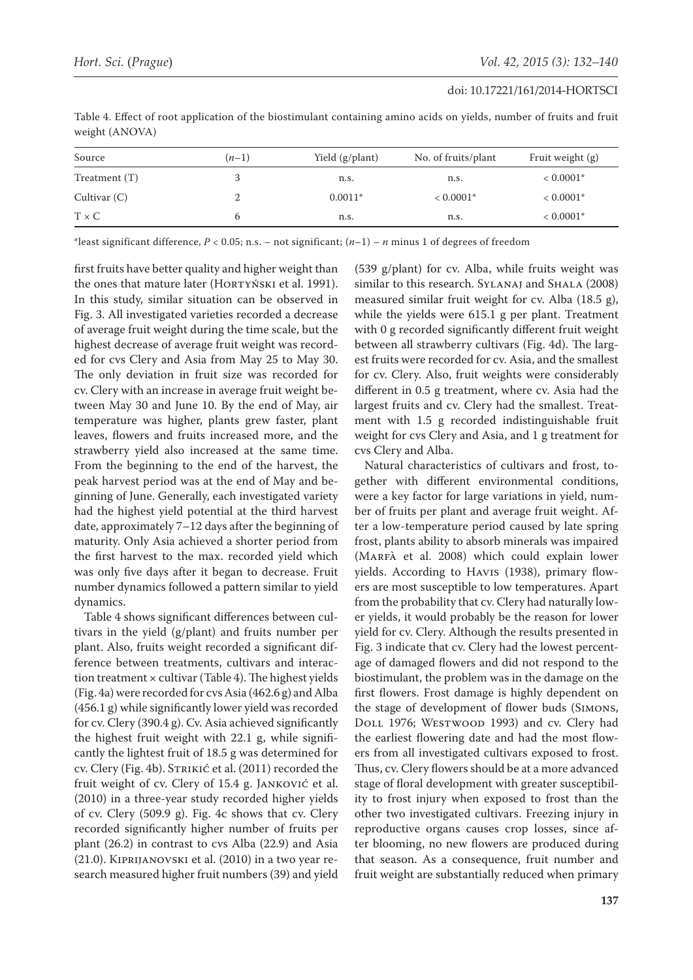| Source          | $(n-1)$ | Yield (g/plant) | No. of fruits/plant | Fruit weight (g) |
|-----------------|---------|-----------------|---------------------|------------------|
| Treatment $(T)$ |         | n.s.            | n.s.                | $< 0.0001*$      |
| Cultivar $(C)$  |         | $0.0011*$       | $< 0.0001*$         | $< 0.0001*$      |
| $T \times C$    | b       | n.s.            | n.s.                | $< 0.0001*$      |

Table 4. Effect of root application of the biostimulant containing amino acids on yields, number of fruits and fruit weight (ANOVA)

\*least significant difference,  $P < 0.05$ ; n.s. – not significant;  $(n-1) - n$  minus 1 of degrees of freedom

first fruits have better quality and higher weight than the ones that mature later (HORTYŃSKI et al. 1991). In this study, similar situation can be observed in Fig. 3. All investigated varieties recorded a decrease of average fruit weight during the time scale, but the highest decrease of average fruit weight was recorded for cvs Clery and Asia from May 25 to May 30. The only deviation in fruit size was recorded for cv. Clery with an increase in average fruit weight between May 30 and June 10. By the end of May, air temperature was higher, plants grew faster, plant leaves, flowers and fruits increased more, and the strawberry yield also increased at the same time. From the beginning to the end of the harvest, the peak harvest period was at the end of May and beginning of June. Generally, each investigated variety had the highest yield potential at the third harvest date, approximately 7–12 days after the beginning of maturity. Only Asia achieved a shorter period from the first harvest to the max. recorded yield which was only five days after it began to decrease. Fruit number dynamics followed a pattern similar to yield dynamics.

Table 4 shows significant differences between cultivars in the yield (g/plant) and fruits number per plant. Also, fruits weight recorded a significant difference between treatments, cultivars and interaction treatment  $\times$  cultivar (Table 4). The highest yields (Fig. 4a) were recorded for cvs Asia (462.6 g) and Alba (456.1 g) while significantly lower yield was recorded for cv. Clery (390.4 g). Cv. Asia achieved significantly the highest fruit weight with 22.1 g, while significantly the lightest fruit of 18.5 g was determined for cv. Clery (Fig. 4b). STRIKIĆ et al. (2011) recorded the fruit weight of cv. Clery of 15.4 g. Janković et al. (2010) in a three-year study recorded higher yields of cv. Clery (509.9 g). Fig. 4c shows that cv. Clery recorded significantly higher number of fruits per plant (26.2) in contrast to cvs Alba (22.9) and Asia (21.0). Kiprijanovski et al. (2010) in a two year research measured higher fruit numbers (39) and yield (539 g/plant) for cv. Alba, while fruits weight was similar to this research. SYLANAJ and SHALA (2008) measured similar fruit weight for cv. Alba (18.5 g), while the yields were 615.1 g per plant. Treatment with 0 g recorded significantly different fruit weight between all strawberry cultivars (Fig. 4d). The largest fruits were recorded for cv. Asia, and the smallest for cv. Clery. Also, fruit weights were considerably different in 0.5 g treatment, where cv. Asia had the largest fruits and cv. Clery had the smallest. Treatment with 1.5 g recorded indistinguishable fruit weight for cvs Clery and Asia, and 1 g treatment for cvs Clery and Alba.

Natural characteristics of cultivars and frost, together with different environmental conditions, were a key factor for large variations in yield, number of fruits per plant and average fruit weight. After a low-temperature period caused by late spring frost, plants ability to absorb minerals was impaired (MARFÀ et al. 2008) which could explain lower yields. According to Havis (1938), primary flowers are most susceptible to low temperatures. Apart from the probability that cv. Clery had naturally lower yields, it would probably be the reason for lower yield for cv. Clery. Although the results presented in Fig. 3 indicate that cv. Clery had the lowest percentage of damaged flowers and did not respond to the biostimulant, the problem was in the damage on the first flowers. Frost damage is highly dependent on the stage of development of flower buds (Simons, Doll 1976; Westwood 1993) and cv. Clery had the earliest flowering date and had the most flowers from all investigated cultivars exposed to frost. Thus, cv. Clery flowers should be at a more advanced stage of floral development with greater susceptibility to frost injury when exposed to frost than the other two investigated cultivars. Freezing injury in reproductive organs causes crop losses, since after blooming, no new flowers are produced during that season. As a consequence, fruit number and fruit weight are substantially reduced when primary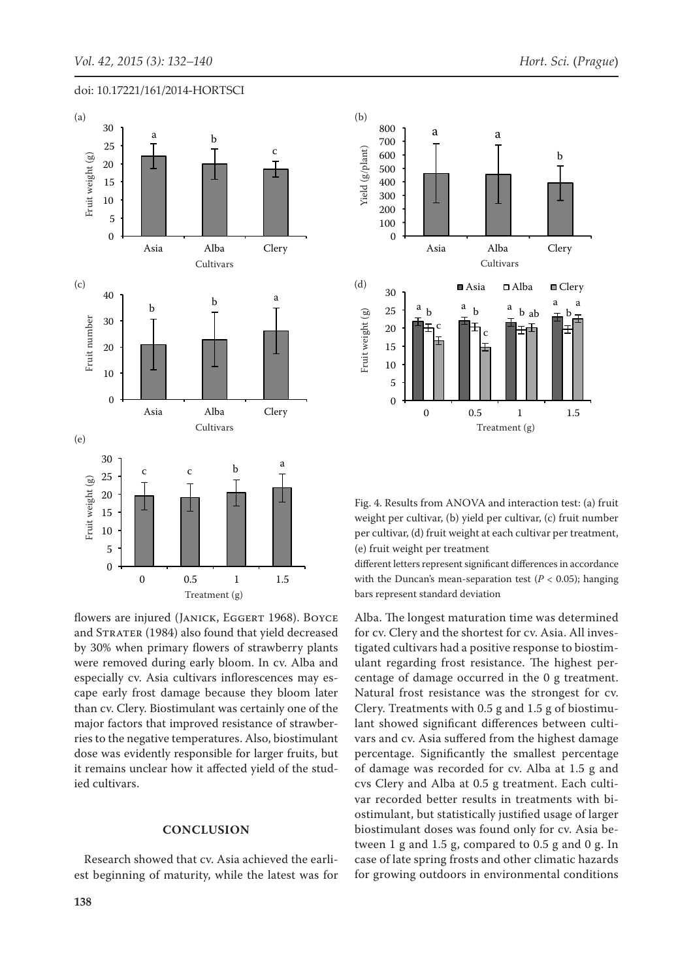



flowers are injured (JANICK, EGGERT 1968). BOYCE and STRATER (1984) also found that yield decreased by 30% when primary flowers of strawberry plants were removed during early bloom. In cv. Alba and especially cv. Asia cultivars inflorescences may escape early frost damage because they bloom later than cv. Clery. Biostimulant was certainly one of the major factors that improved resistance of strawberries to the negative temperatures. Also, biostimulant dose was evidently responsible for larger fruits, but it remains unclear how it affected yield of the studied cultivars.

#### **CONCLUSION**

Research showed that cv. Asia achieved the earliest beginning of maturity, while the latest was for



Fig. 4. Results from ANOVA and interaction test: (a) fruit weight per cultivar, (b) yield per cultivar, (c) fruit number per cultivar, (d) fruit weight at each cultivar per treatment, (e) fruit weight per treatment

different letters represent significant differences in accordance with the Duncan's mean-separation test  $(P < 0.05)$ ; hanging bars represent standard deviation 5

Alba. The longest maturation time was determined for cv. Clery and the shortest for cv. Asia. All investigated cultivars had a positive response to biostimulant regarding frost resistance. The highest percentage of damage occurred in the 0 g treatment. Natural frost resistance was the strongest for cv. Clery. Treatments with 0.5 g and 1.5 g of biostimulant showed significant differences between cultivars and cv. Asia suffered from the highest damage percentage. Significantly the smallest percentage of damage was recorded for cv. Alba at 1.5 g and cvs Clery and Alba at 0.5 g treatment. Each cultivar recorded better results in treatments with biostimulant, but statistically justified usage of larger biostimulant doses was found only for cv. Asia between 1 g and 1.5 g, compared to 0.5 g and 0 g. In case of late spring frosts and other climatic hazards for growing outdoors in environmental conditions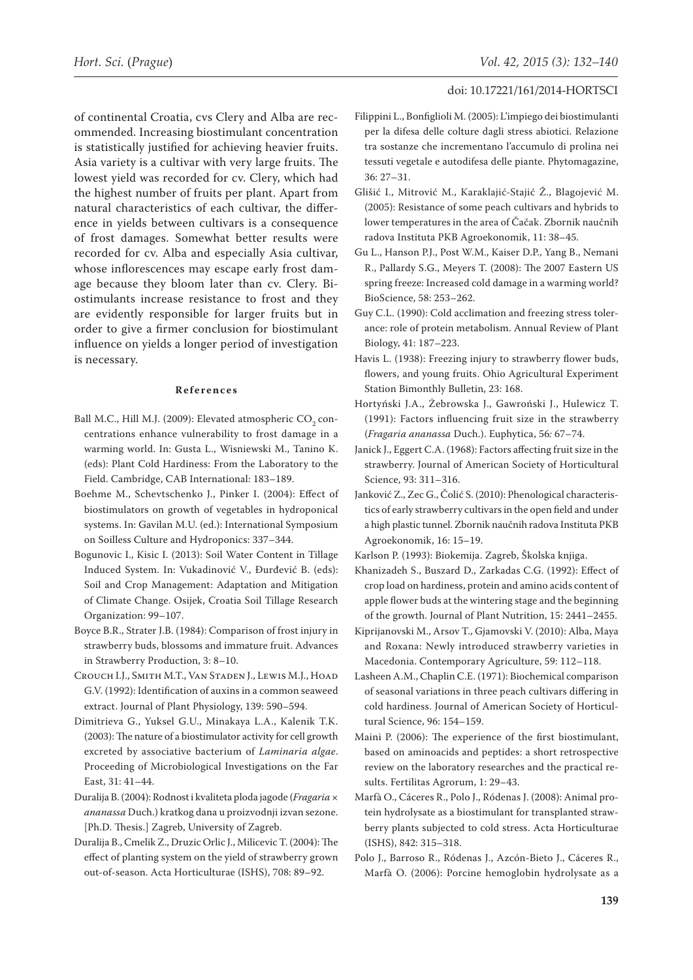of continental Croatia, cvs Clery and Alba are recommended. Increasing biostimulant concentration is statistically justified for achieving heavier fruits. Asia variety is a cultivar with very large fruits. The lowest yield was recorded for cv. Clery, which had the highest number of fruits per plant. Apart from natural characteristics of each cultivar, the difference in yields between cultivars is a consequence of frost damages. Somewhat better results were recorded for cv. Alba and especially Asia cultivar, whose inflorescences may escape early frost damage because they bloom later than cv. Clery. Biostimulants increase resistance to frost and they are evidently responsible for larger fruits but in order to give a firmer conclusion for biostimulant influence on yields a longer period of investigation is necessary.

#### **References**

- Ball M.C., Hill M.J. (2009): Elevated atmospheric CO<sub>2</sub> concentrations enhance vulnerability to frost damage in a warming world. In: Gusta L., Wisniewski M., Tanino K. (eds): Plant Cold Hardiness: From the Laboratory to the Field. Cambridge, CAB International: 183–189.
- Boehme M., Schevtschenko J., Pinker I. (2004): Effect of biostimulators on growth of vegetables in hydroponical systems. In: Gavilan M.U. (ed.): International Symposium on Soilless Culture and Hydroponics: 337–344.
- Bogunovic I., Kisic I. (2013): Soil Water Content in Tillage Induced System. In: Vukadinović V., Đurđević B. (eds): Soil and Crop Management: Adaptation and Mitigation of Climate Change. Osijek, Croatia Soil Tillage Research Organization: 99–107.
- Boyce B.R., Strater J.B. (1984): Comparison of frost injury in strawberry buds, blossoms and immature fruit. Advances in Strawberry Production, 3: 8–10.
- Crouch I.J., Smith M.T., Van Staden J., Lewis M.J., Hoad G.V. (1992): Identification of auxins in a common seaweed extract. Journal of Plant Physiology, 139: 590–594.
- Dimitrieva G., Yuksel G.U., Minakaya L.A., Kalenik T.K. (2003): The nature of a biostimulator activity for cell growth excreted by associative bacterium of *Laminaria algae*. Proceeding of Microbiological Investigations on the Far East, 31: 41–44.
- Duralija B. (2004): Rodnost i kvaliteta ploda jagode (*Fragaria* × *ananassa* Duch.) kratkog dana u proizvodnji izvan sezone. [Ph.D. Thesis.] Zagreb, University of Zagreb.
- Duralija B., Cmelik Z., Druzic Orlic J., Milicevic T. (2004): The effect of planting system on the yield of strawberry grown out-of-season. Acta Horticulturae (ISHS), 708: 89–92.
- Filippini L., Bonfiglioli M. (2005): L'impiego dei biostimulanti per la difesa delle colture dagli stress abiotici. Relazione tra sostanze che incrementano l'accumulo di prolina nei tessuti vegetale e autodifesa delle piante. Phytomagazine, 36: 27–31.
- Glišić I., Mitrović M., Karaklajić-Stajić Ž., Blagojević M. (2005): Resistance of some peach cultivars and hybrids to lower temperatures in the area of Čačak. Zbornik naučnih radova Instituta PKB Agroekonomik, 11: 38–45.
- Gu L., Hanson P.J., Post W.M., Kaiser D.P., Yang B., Nemani R., Pallardy S.G., Meyers T. (2008): The 2007 Eastern US spring freeze: Increased cold damage in a warming world? BioScience, 58: 253–262.
- Guy C.L. (1990): Cold acclimation and freezing stress tolerance: role of protein metabolism. Annual Review of Plant Biology, 41: 187–223.
- Havis L. (1938): Freezing injury to strawberry flower buds, flowers, and young fruits. Ohio Agricultural Experiment Station Bimonthly Bulletin, 23: 168.
- Hortyński J.A., Żebrowska J., Gawroński J., Hulewicz T. (1991): Factors influencing fruit size in the strawberry (*Fragaria ananassa* Duch.). Euphytica, 56*:* 67–74.
- Janick J., Eggert C.A. (1968): Factors affecting fruit size in the strawberry. Journal of American Society of Horticultural Science, 93: 311–316.
- Janković Z., Zec G., Čolić S. (2010): Phenological characteristics of early strawberry cultivars in the open field and under a high plastic tunnel. Zbornik naučnih radova Instituta PKB Agroekonomik, 16: 15–19.
- Karlson P. (1993): Biokemija. Zagreb, Školska knjiga.
- Khanizadeh S., Buszard D., Zarkadas C.G. (1992): Effect of crop load on hardiness, protein and amino acids content of apple flower buds at the wintering stage and the beginning of the growth. Journal of Plant Nutrition, 15: 2441–2455.
- Kiprijanovski M., Arsov T., Gjamovski V. (2010): Alba, Maya and Roxana: Newly introduced strawberry varieties in Macedonia. Contemporary Agriculture, 59: 112–118.
- Lasheen A.M., Chaplin C.E. (1971): Biochemical comparison of seasonal variations in three peach cultivars differing in cold hardiness. Journal of American Society of Horticultural Science, 96: 154–159.
- Maini P. (2006): The experience of the first biostimulant, based on aminoacids and peptides: a short retrospective review on the laboratory researches and the practical results. Fertilitas Agrorum, 1: 29–43.
- Marfà O., Cáceres R., Polo J., Ródenas J. (2008): Animal protein hydrolysate as a biostimulant for transplanted strawberry plants subjected to cold stress. Acta Horticulturae (ISHS), 842: 315–318.
- Polo J., Barroso R., Ródenas J., Azcón-Bieto J., Cáceres R., Marfà O. (2006): Porcine hemoglobin hydrolysate as a